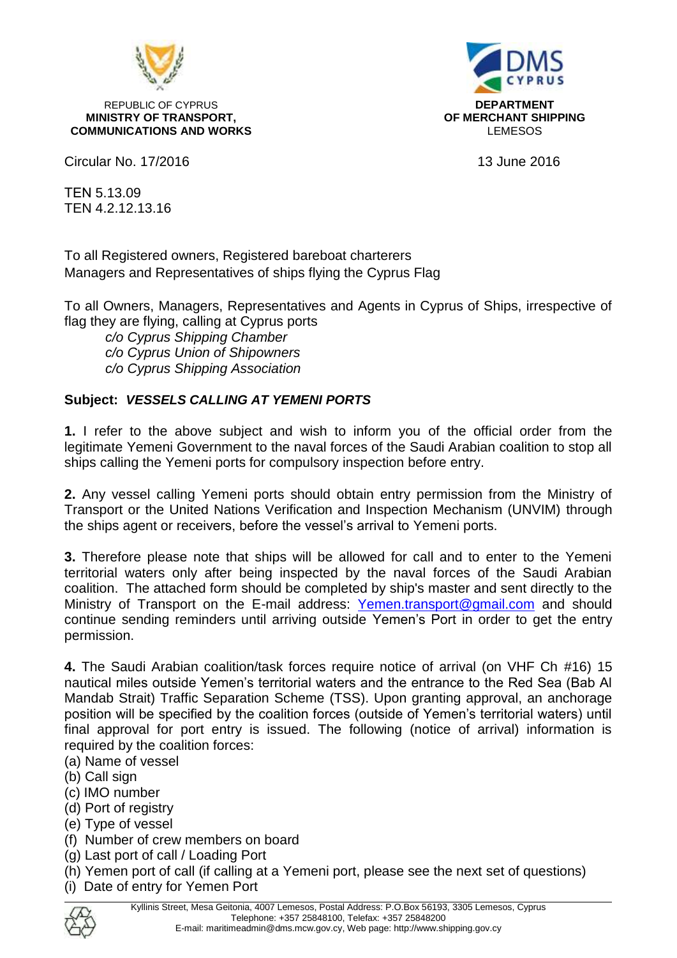

REPUBLIC OF CYPRUS<br>**REPUBLIC OF CYPRUS**<br>**REPUBLIC OF TRANSPORT,** THE CONSIDERENT OF MERCHANT SHIPPING **MINISTRY OF TRANSPORT, COMMUNICATIONS AND WORKS LEMESOS LEMESOS** 

Circular No. 17/2016 13 June 2016

ΤΕΝ 5.13.09 TEN 4.2.12.13.16

To all Registered owners, Registered bareboat charterers Managers and Representatives of ships flying the Cyprus Flag

To all Owners, Managers, Representatives and Agents in Cyprus of Ships, irrespective of flag they are flying, calling at Cyprus ports

*c/o Cyprus Shipping Chamber c/o Cyprus Union of Shipowners c/o Cyprus Shipping Association*

#### **Subject:** *VESSELS CALLING AT YEMENI PORTS*

**1.** I refer to the above subject and wish to inform you of the official order from the legitimate Yemeni Government to the naval forces of the Saudi Arabian coalition to stop all ships calling the Yemeni ports for compulsory inspection before entry.

**2.** Any vessel calling Yemeni ports should obtain entry permission from the Ministry of Transport or the United Nations Verification and Inspection Mechanism (UNVIM) through the ships agent or receivers, before the vessel's arrival to Yemeni ports.

**3.** Therefore please note that ships will be allowed for call and to enter to the Yemeni territorial waters only after being inspected by the naval forces of the Saudi Arabian coalition. The attached form should be completed by ship's master and sent directly to the Ministry of Transport on the E-mail address: [Yemen.transport@gmail.com](mailto:Yemen.transport@gmail.com) and should continue sending reminders until arriving outside Yemen's Port in order to get the entry permission.

**4.** The Saudi Arabian coalition/task forces require notice of arrival (on VHF Ch #16) 15 nautical miles outside Yemen's territorial waters and the entrance to the Red Sea (Bab Al Mandab Strait) Traffic Separation Scheme (TSS). Upon granting approval, an anchorage position will be specified by the coalition forces (outside of Yemen's territorial waters) until final approval for port entry is issued. The following (notice of arrival) information is required by the coalition forces:

- (a) Name of vessel
- (b) Call sign
- (c) IMO number
- (d) Port of registry
- (e) Type of vessel
- (f) Number of crew members on board
- (g) Last port of call / Loading Port
- (h) Yemen port of call (if calling at a Yemeni port, please see the next set of questions)
- (i) Date of entry for Yemen Port

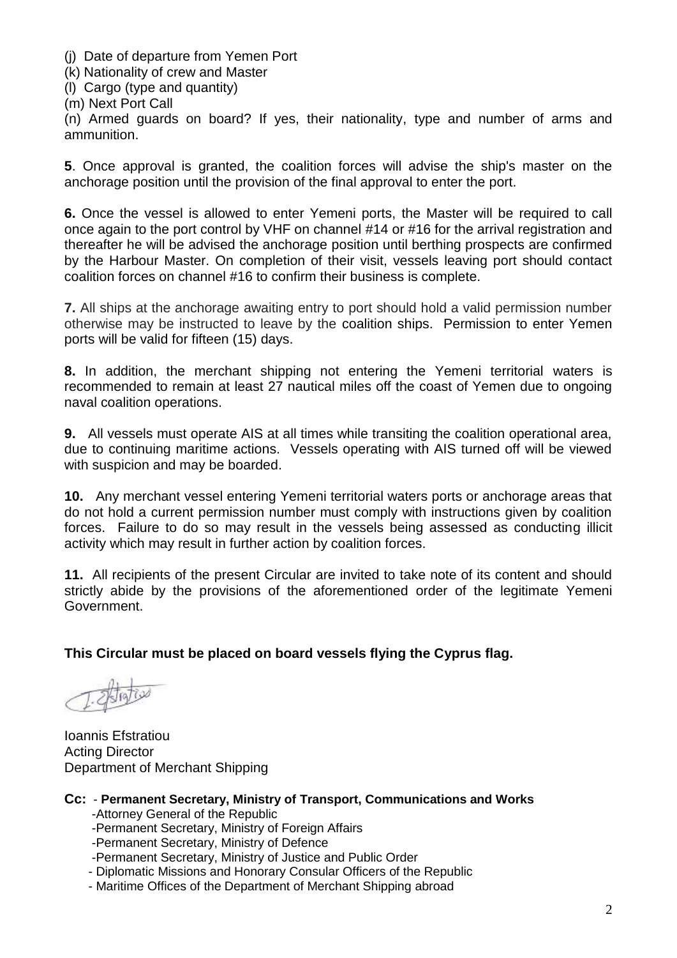(j) Date of departure from Yemen Port

(k) Nationality of crew and Master

(l) Cargo (type and quantity)

(m) Next Port Call

(n) Armed guards on board? If yes, their nationality, type and number of arms and ammunition.

**5**. Once approval is granted, the coalition forces will advise the ship's master on the anchorage position until the provision of the final approval to enter the port.

**6.** Once the vessel is allowed to enter Yemeni ports, the Master will be required to call once again to the port control by VHF on channel #14 or #16 for the arrival registration and thereafter he will be advised the anchorage position until berthing prospects are confirmed by the Harbour Master. On completion of their visit, vessels leaving port should contact coalition forces on channel #16 to confirm their business is complete.

**7.** All ships at the anchorage awaiting entry to port should hold a valid permission number otherwise may be instructed to leave by the coalition ships. Permission to enter Yemen ports will be valid for fifteen (15) days.

**8.** In addition, the merchant shipping not entering the Yemeni territorial waters is recommended to remain at least 27 nautical miles off the coast of Yemen due to ongoing naval coalition operations.

**9.** All vessels must operate AIS at all times while transiting the coalition operational area, due to continuing maritime actions. Vessels operating with AIS turned off will be viewed with suspicion and may be boarded.

**10.** Any merchant vessel entering Yemeni territorial waters ports or anchorage areas that do not hold a current permission number must comply with instructions given by coalition forces. Failure to do so may result in the vessels being assessed as conducting illicit activity which may result in further action by coalition forces.

**11.** All recipients of the present Circular are invited to take note of its content and should strictly abide by the provisions of the aforementioned order of the legitimate Yemeni Government.

**This Circular must be placed on board vessels flying the Cyprus flag.**

Ioannis Efstratiou Acting Director Department of Merchant Shipping

- **Cc: Permanent Secretary, Ministry of Transport, Communications and Works** -Attorney General of the Republic
	- -Permanent Secretary, Ministry of Foreign Affairs
	- -Permanent Secretary, Ministry of Defence
	- -Permanent Secretary, Ministry of Justice and Public Order
	- Diplomatic Missions and Honorary Consular Officers of the Republic
	- Maritime Offices of the Department of Merchant Shipping abroad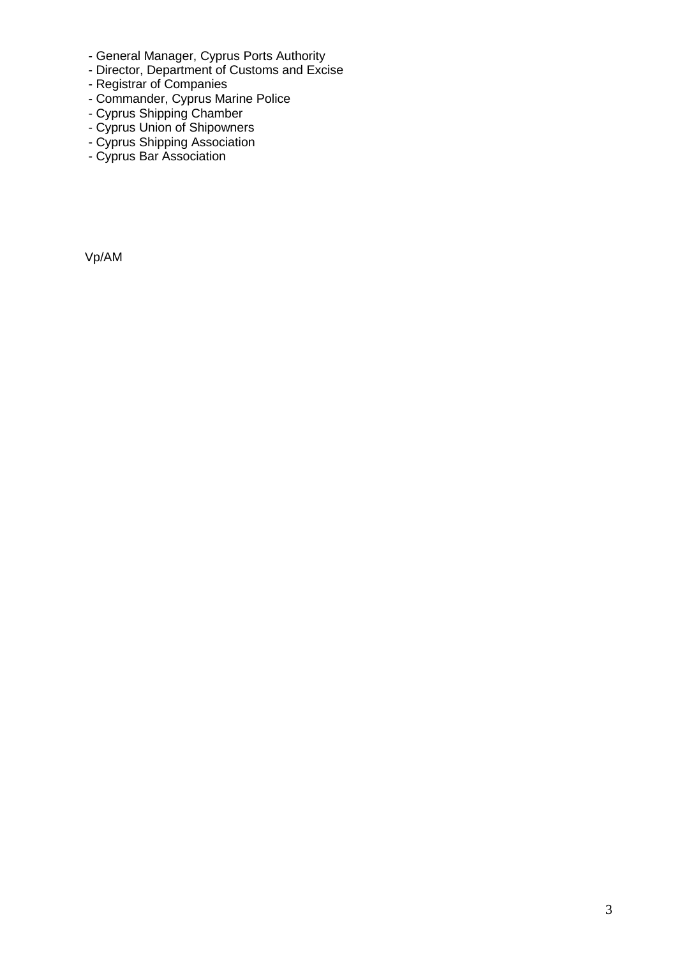- General Manager, Cyprus Ports Authority
- Director, Department of Customs and Excise
- Registrar of Companies
- Commander, Cyprus Marine Police
- Cyprus Shipping Chamber
- Cyprus Union of Shipowners
- Cyprus Shipping Association
- Cyprus Bar Association

Vp/AM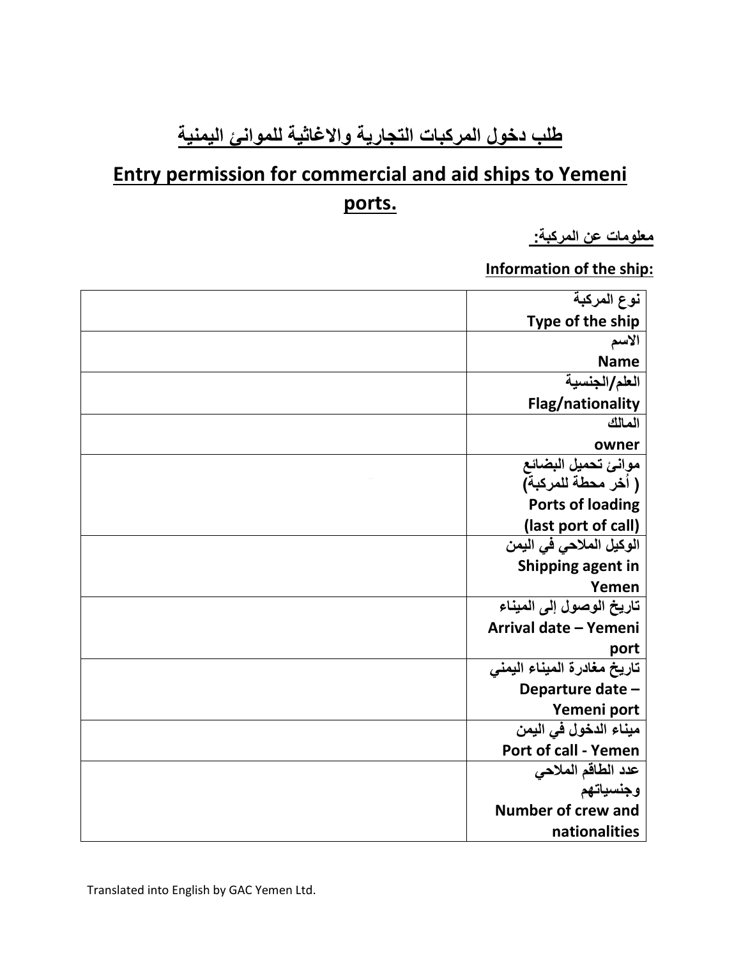# **طلب دخول المركبات التجارية واالغاثية للموانئ اليمنية**

# **Entry permission for commercial and aid ships to Yemeni ports.**

**معلومات عن المركبة:** 

**Information of the ship:**

| نوع المركبة                             |  |
|-----------------------------------------|--|
| Type of the ship                        |  |
| الأسم                                   |  |
| <b>Name</b>                             |  |
| العلم/الجنسية                           |  |
| Flag/nationality                        |  |
| المالك                                  |  |
| owner                                   |  |
| موانئ تحميل البضائع                     |  |
| ( أخر محطة للمركبة)                     |  |
| <b>Ports of loading</b>                 |  |
| (last port of call)                     |  |
| الوكيل الملاح <i>ى</i> ف <i>ي</i> اليمن |  |
| Shipping agent in                       |  |
| Yemen                                   |  |
| تاريخ الوصول إلى الميناء                |  |
| Arrival date - Yemeni                   |  |
| port                                    |  |
| تاريخ مغادرة الميناء اليمني             |  |
| Departure date -                        |  |
| Yemeni port                             |  |
| ميناء الدخول في اليمن                   |  |
| Port of call - Yemen                    |  |
| عدد الطاقم الملاحي                      |  |
| وجنسياتهم                               |  |
| <b>Number of crew and</b>               |  |
| nationalities                           |  |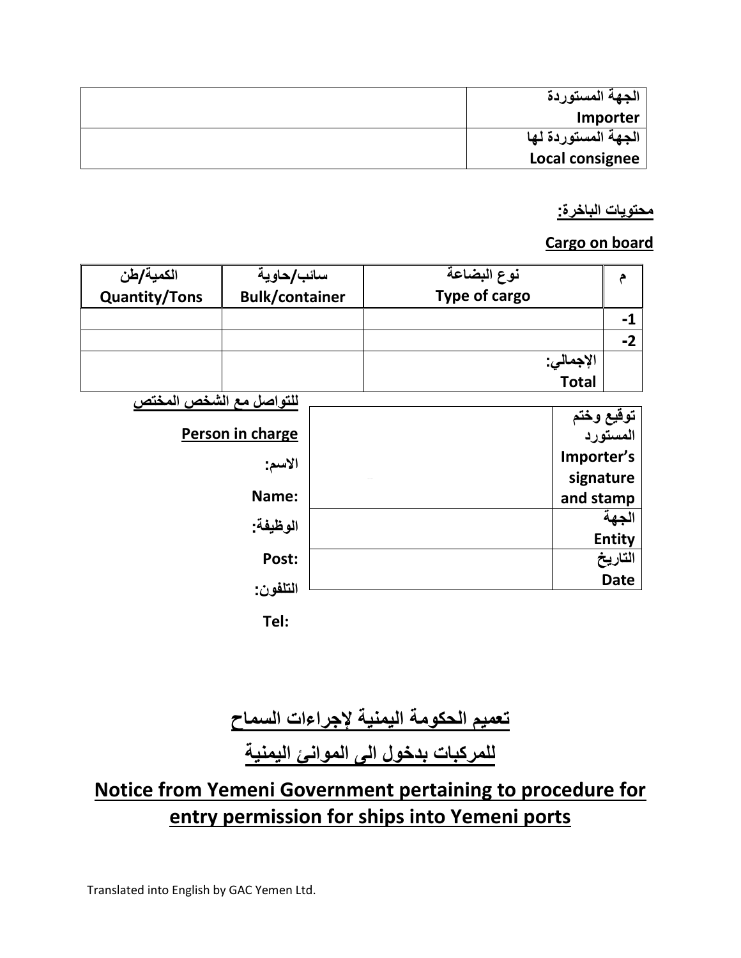| الجهة المستوردة     |  |
|---------------------|--|
| Importer            |  |
| الجهة المستوردة لها |  |
| Local consignee     |  |

#### **محتويات الباخرة:**

### **Cargo on board**

| الكمية/طن               | سائب/حاوية            | نوع البضاعة   | م                                  |  |  |
|-------------------------|-----------------------|---------------|------------------------------------|--|--|
| <b>Quantity/Tons</b>    | <b>Bulk/container</b> | Type of cargo |                                    |  |  |
|                         |                       |               | $-1$                               |  |  |
|                         |                       |               | $-2$                               |  |  |
|                         |                       | الإجمالي:     |                                    |  |  |
|                         |                       | <b>Total</b>  |                                    |  |  |
| للتواصل مع الشخص المختص |                       |               |                                    |  |  |
| Person in charge        |                       |               | <del>توقي</del> ع وختم<br>المستورد |  |  |
|                         |                       |               |                                    |  |  |
| الأسم:                  |                       | Importer's    |                                    |  |  |
|                         |                       | signature     |                                    |  |  |
|                         | Name:                 | and stamp     |                                    |  |  |
|                         | الوظيفة:              |               | الجهة                              |  |  |
|                         |                       |               | <b>Entity</b>                      |  |  |
|                         | Post:                 |               | التاريخ                            |  |  |
|                         | التلفون:              |               | <b>Date</b>                        |  |  |
|                         |                       |               |                                    |  |  |
|                         | Tel:                  |               |                                    |  |  |

# **تعميم الحكومة اليمنية إلجراءات السماح**

**للمركبات بدخول الى الموانئ اليمنية**

# **Notice from Yemeni Government pertaining to procedure for entry permission for ships into Yemeni ports**

Translated into English by GAC Yemen Ltd.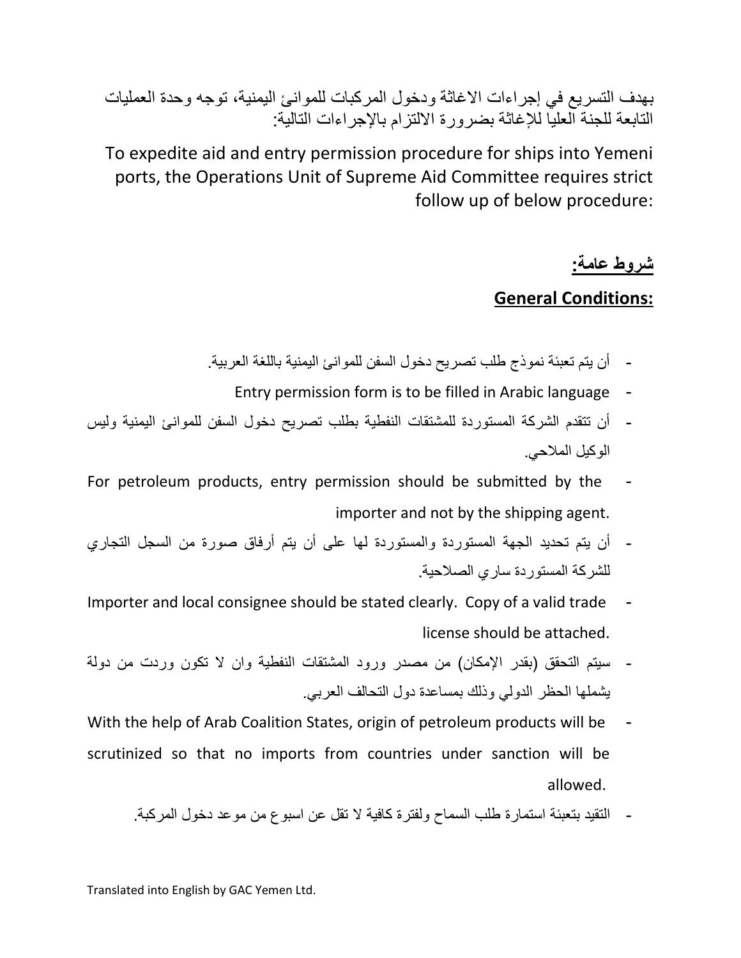بهدف التسريع في إجراءات االغاثة ودخول المركبات للموانئ اليمنية، توجه وحدة العمليات التابعة للجنة العليا لإلغاثة بضرورة االلتزام باإلجراءات التالية:

To expedite aid and entry permission procedure for ships into Yemeni ports, the Operations Unit of Supreme Aid Committee requires strict follow up of below procedure:

## **شروط عامة:**

### **General Conditions:**

- أن يتم تعبئة نموذج طلب تصريح دخول السفن للموانئ اليمنية باللغة العربية.
	- Entry permission form is to be filled in Arabic language -
- أن تتقدم الشركة المستوردة للمشتقات النفطية بطلب تصريح دخول السفن للموانئ اليمنية وليس الوكيل المالحي.
- For petroleum products, entry permission should be submitted by the importer and not by the shipping agent.
- أن يتم تحديد الجهة المستوردة والمستوردة لها على أن يتم أرفاق صورة من السجل التجاري للشركة المستوردة ساري الصالحية.
- Importer and local consignee should be stated clearly. Copy of a valid trade license should be attached.
- سيتم التحقق (بقدر الإمكان) من مصدر ورود المشتقات النفطية وان لا تكون وردت من دولة يشملها الحظر الدولي وذلك بمساعدة دول التحالف العربي.
- With the help of Arab Coalition States, origin of petroleum products will be scrutinized so that no imports from countries under sanction will be allowed.
	- التقيد بتعبئة استمارة طلب السماح ولفترة كافية ال تقل عن اسبوع من موعد دخول المركبة.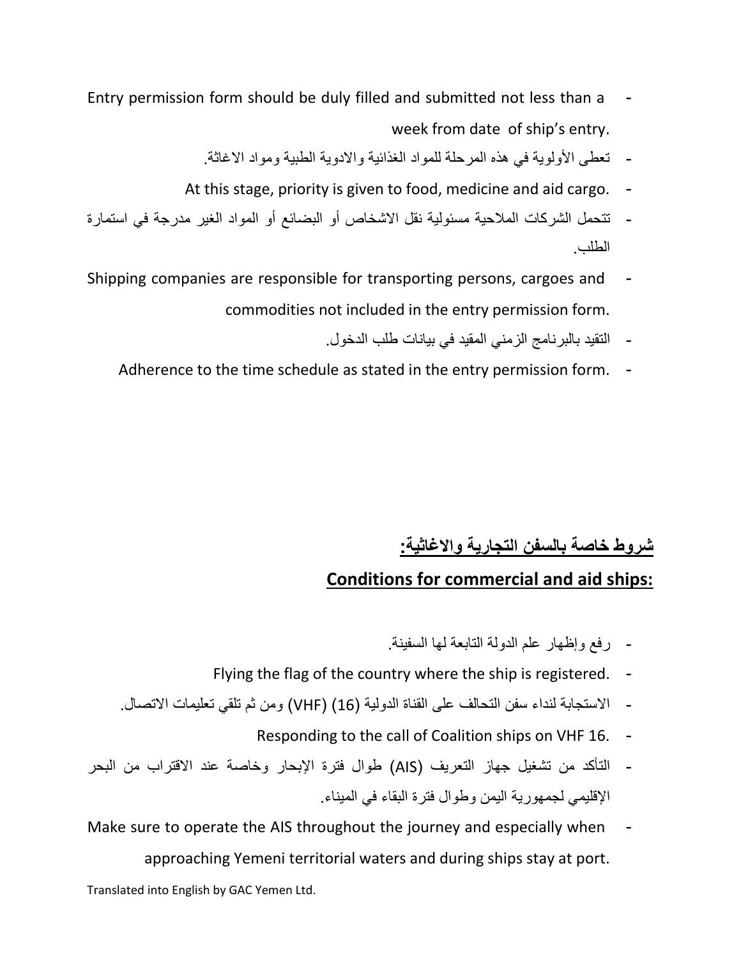- Entry permission form should be duly filled and submitted not less than a week from date of ship's entry.
	- تعطي الأولوية في هذه المرحلة للمواد الغذائية والادوية الطبية ومواد الاغاثة.
	- At this stage, priority is given to food, medicine and aid cargo. -
- تتحمل الشركات المالحية مسئولية نقل االشخاص أو البضائع أو المواد الغير مدرجة في استمارة الطلب.
- Shipping companies are responsible for transporting persons, cargoes and commodities not included in the entry permission form.
	- التقيد بالبرنامج الزمني المقيد في بيانات طلب الدخول.
	- Adherence to the time schedule as stated in the entry permission form. -

## **شروط خاصة بالسفن التجارية واالغاثية:**

### **Conditions for commercial and aid ships:**

- رفع وإظهار علم الدولة التابعة لها السفينة.
- Flying the flag of the country where the ship is registered. -
- االستجابة لنداء سفن التحالف على القناة الدولية )16( )VHF )ومن ثم تلقي تعليمات االتصال.
	- Responding to the call of Coalition ships on VHF 16. -
- التأكد من تشغيل جهاز التعريف )AIS )طوال فترة اإلبحار وخاصة عند االقتراب من البحر اإلقليمي لجمهورية اليمن وطوال فترة البقاء في الميناء.
- Make sure to operate the AIS throughout the journey and especially when approaching Yemeni territorial waters and during ships stay at port.

Translated into English by GAC Yemen Ltd.